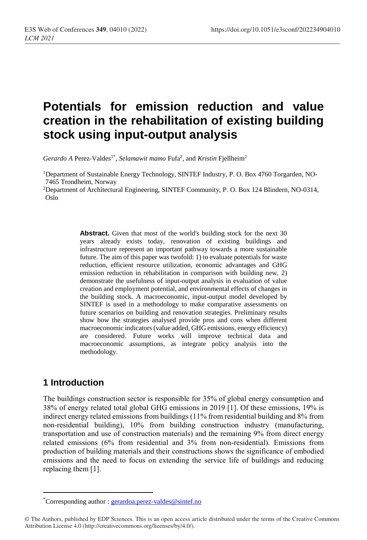# **Potentials for emission reduction and value creation in the rehabilitation of existing building stock using input-output analysis**

Gerardo A Perez-Valdes<sup>1\*</sup>, Selamawit mamo Fufa<sup>2</sup>, and *Kristin* Fjellheim<sup>2</sup>

<sup>1</sup>Department of Sustainable Energy Technology, SINTEF Industry, P. O. Box 4760 Torgarden, NO-7465 Trondheim, Norway

<sup>2</sup>Department of Architectural Engineering, SINTEF Community, P. O. Box 124 Blindern, NO-0314, Oslo

> **Abstract.** Given that most of the world's building stock for the next 30 years already exists today, renovation of existing buildings and infrastructure represent an important pathway towards a more sustainable future. The aim of this paper was twofold: 1) to evaluate potentials for waste reduction, efficient resource utilization, economic advantages and GHG emission reduction in rehabilitation in comparison with building new, 2) demonstrate the usefulness of input-output analysis in evaluation of value creation and employment potential, and environmental effects of changes in the building stock. A macroeconomic, input-output model developed by SINTEF is used in a methodology to make comparative assessments on future scenarios on building and renovation strategies. Preliminary results show how the strategies analysed provide pros and cons when different macroeconomic indicators (value added, GHG emissions, energy efficiency) are considered. Future works will improve technical data and macroeconomic assumptions, as integrate policy analysis into the methodology.

## **1 Introduction**

 $\overline{a}$ 

The buildings construction sector is responsible for 35% of global energy consumption and 38% of energy related total global GHG emissions in 2019 [1]. Of these emissions, 19% is indirect energy related emissions from buildings (11% from residential building and 8% from non-residential building), 10% from building construction industry (manufacturing, transportation and use of construction materials) and the remaining 9% from direct energy related emissions (6% from residential and 3% from non-residential). Emissions from production of building materials and their constructions shows the significance of embodied emissions and the need to focus on extending the service life of buildings and reducing replacing them [1].

<sup>\*</sup>Corresponding author : [gerardoa.perez-valdes@sintef.no](mailto:gerardoa.perez-valdes@sintef.no)

<sup>©</sup> The Authors, published by EDP Sciences. This is an open access article distributed under the terms of the Creative Commons Attribution License 4.0 (http://creativecommons.org/licenses/by/4.0/).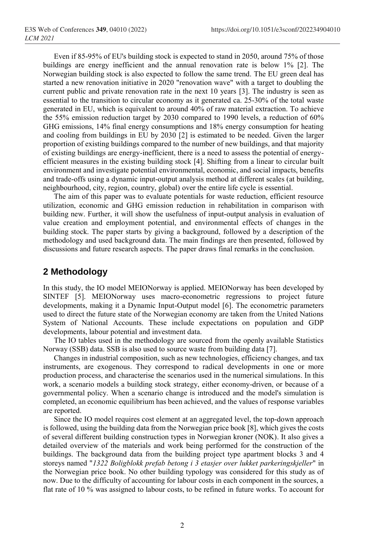Even if 85-95% of EU's building stock is expected to stand in 2050, around 75% of those buildings are energy inefficient and the annual renovation rate is below 1% [2]. The Norwegian building stock is also expected to follow the same trend. The EU green deal has started a new renovation initiative in 2020 "renovation wave" with a target to doubling the current public and private renovation rate in the next 10 years [3]. The industry is seen as essential to the transition to circular economy as it generated ca. 25-30% of the total waste generated in EU, which is equivalent to around 40% of raw material extraction. To achieve the 55% emission reduction target by 2030 compared to 1990 levels, a reduction of 60% GHG emissions, 14% final energy consumptions and 18% energy consumption for heating and cooling from buildings in EU by 2030 [2] is estimated to be needed. Given the larger proportion of existing buildings compared to the number of new buildings, and that majority of existing buildings are energy-inefficient, there is a need to assess the potential of energyefficient measures in the existing building stock [4]. Shifting from a linear to circular built environment and investigate potential environmental, economic, and social impacts, benefits and trade-offs using a dynamic input-output analysis method at different scales (at building, neighbourhood, city, region, country, global) over the entire life cycle is essential.

The aim of this paper was to evaluate potentials for waste reduction, efficient resource utilization, economic and GHG emission reduction in rehabilitation in comparison with building new. Further, it will show the usefulness of input-output analysis in evaluation of value creation and employment potential, and environmental effects of changes in the building stock. The paper starts by giving a background, followed by a description of the methodology and used background data. The main findings are then presented, followed by discussions and future research aspects. The paper draws final remarks in the conclusion.

### **2 Methodology**

In this study, the IO model MEIONorway is applied. MEIONorway has been developed by SINTEF [5]. MEIONorway uses macro-econometric regressions to project future developments, making it a Dynamic Input-Output model [6]. The econometric parameters used to direct the future state of the Norwegian economy are taken from the United Nations System of National Accounts. These include expectations on population and GDP developments, labour potential and investment data.

The IO tables used in the methodology are sourced from the openly available Statistics Norway (SSB) data. SSB is also used to source waste from building data [7].

Changes in industrial composition, such as new technologies, efficiency changes, and tax instruments, are exogenous. They correspond to radical developments in one or more production process, and characterise the scenarios used in the numerical simulations. In this work, a scenario models a building stock strategy, either economy-driven, or because of a governmental policy. When a scenario change is introduced and the model's simulation is completed, an economic equilibrium has been achieved, and the values of response variables are reported.

Since the IO model requires cost element at an aggregated level, the top-down approach is followed, using the building data from the Norwegian price book [8], which gives the costs of several different building construction types in Norwegian kroner (NOK). It also gives a detailed overview of the materials and work being performed for the construction of the buildings. The background data from the building project type apartment blocks 3 and 4 storeys named "*1322 Boligblokk prefab betong i 3 etasjer over lukket parkeringskjeller*" in the Norwegian price book. No other building typology was considered for this study as of now. Due to the difficulty of accounting for labour costs in each component in the sources, a flat rate of 10 % was assigned to labour costs, to be refined in future works. To account for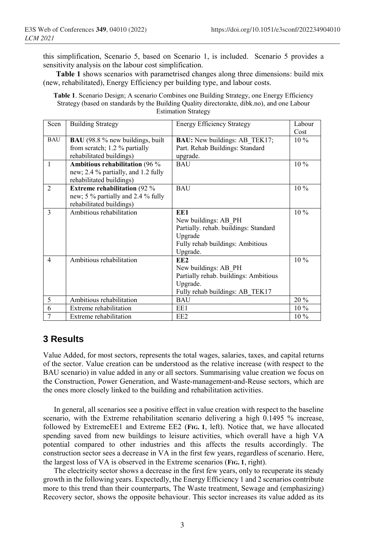this simplification, Scenario 5, based on Scenario 1, is included. Scenario 5 provides a sensitivity analysis on the labour cost simplification.

**[Table 1](#page-2-0)** shows scenarios with parametrised changes along three dimensions: build mix (new, rehabilitated), Energy Efficiency per building type, and labour costs.

<span id="page-2-0"></span>

| <b>Table 1.</b> Scenario Design; A scenario Combines one Building Strategy, one Energy Efficiency |
|---------------------------------------------------------------------------------------------------|
| Strategy (based on standards by the Building Quality directorakte, dibk.no), and one Labour       |
| <b>Estimation Strategy</b>                                                                        |

| Scen           | <b>Building Strategy</b>                                                 | <b>Energy Efficiency Strategy</b>                                       | Labour |
|----------------|--------------------------------------------------------------------------|-------------------------------------------------------------------------|--------|
|                |                                                                          |                                                                         | Cost   |
| <b>BAU</b>     | <b>BAU</b> (98.8 % new buildings, built<br>from scratch; 1.2 % partially | <b>BAU:</b> New buildings: AB TEK17;<br>Part. Rehab Buildings: Standard | $10\%$ |
|                | rehabilitated buildings)                                                 | upgrade.                                                                |        |
| 1              | Ambitious rehabilitation (96 %                                           | <b>BAU</b>                                                              | $10\%$ |
|                | new; 2.4 % partially, and 1.2 fully                                      |                                                                         |        |
|                | rehabilitated buildings)                                                 |                                                                         |        |
| $\mathfrak{D}$ | Extreme rehabilitation ( $\overline{92\%}$                               | <b>BAU</b>                                                              | $10\%$ |
|                | new; 5 % partially and 2.4 % fully                                       |                                                                         |        |
|                | rehabilitated buildings)                                                 |                                                                         |        |
| $\mathbf{3}$   | Ambitious rehabilitation                                                 | EE1                                                                     | $10\%$ |
|                |                                                                          | New buildings: AB PH                                                    |        |
|                |                                                                          | Partially. rehab. buildings: Standard                                   |        |
|                |                                                                          | Upgrade                                                                 |        |
|                |                                                                          | Fully rehab buildings: Ambitious                                        |        |
|                |                                                                          | Upgrade.                                                                |        |
| $\overline{4}$ | Ambitious rehabilitation                                                 | EE <sub>2</sub>                                                         | $10\%$ |
|                |                                                                          | New buildings: AB PH                                                    |        |
|                |                                                                          | Partially rehab. buildings: Ambitious                                   |        |
|                |                                                                          | Upgrade.                                                                |        |
|                |                                                                          | Fully rehab buildings: AB TEK17                                         |        |
| 5              | Ambitious rehabilitation                                                 | <b>BAU</b>                                                              | 20 %   |
| 6              | Extreme rehabilitation                                                   | EE1                                                                     | $10\%$ |
| $\overline{7}$ | Extreme rehabilitation                                                   | EE2                                                                     | $10\%$ |

#### **3 Results**

Value Added, for most sectors, represents the total wages, salaries, taxes, and capital returns of the sector. Value creation can be understood as the relative increase (with respect to the BAU scenario) in value added in any or all sectors. Summarising value creation we focus on the Construction, Power Generation, and Waste-management-and-Reuse sectors, which are the ones more closely linked to the building and rehabilitation activities.

In general, all scenarios see a positive effect in value creation with respect to the baseline scenario, with the Extreme rehabilitation scenario delivering a high 0.1495 % increase, followed by ExtremeEE1 and Extreme EE2 (**F[IG](#page-3-0). 1**, left). Notice that, we have allocated spending saved from new buildings to leisure activities, which overall have a high VA potential compared to other industries and this affects the results accordingly. The construction sector sees a decrease in VA in the first few years, regardless of scenario. Here, the largest loss of VA is observed in the Extreme scenarios (**F[IG](#page-3-0). 1**, right).

The electricity sector shows a decrease in the first few years, only to recuperate its steady growth in the following years. Expectedly, the Energy Efficiency 1 and 2 scenarios contribute more to this trend than their counterparts, The Waste treatment, Sewage and (emphasizing) Recovery sector, shows the opposite behaviour. This sector increases its value added as its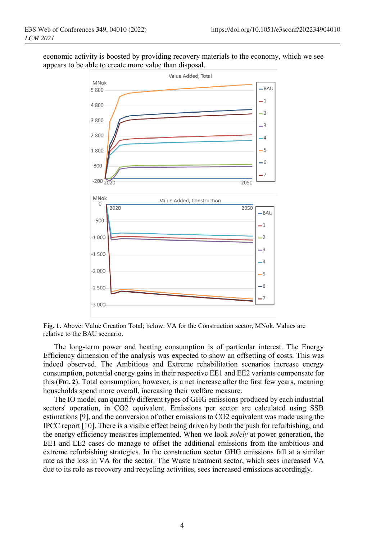



<span id="page-3-0"></span>**Fig. 1.** Above: Value Creation Total; below: VA for the Construction sector, MNok. Values are relative to the BAU scenario.

The long-term power and heating consumption is of particular interest. The Energy Efficiency dimension of the analysis was expected to show an offsetting of costs. This was indeed observed. The Ambitious and Extreme rehabilitation scenarios increase energy consumption, potential energy gains in their respective EE1 and EE2 variants compensate for this (**F[IG](#page-4-0). 2**). Total consumption, however, is a net increase after the first few years, meaning households spend more overall, increasing their welfare measure.

The IO model can quantify different types of GHG emissions produced by each industrial sectors' operation, in CO2 equivalent. Emissions per sector are calculated using SSB estimations [9], and the conversion of other emissions to CO2 equivalent was made using the IPCC report [10]. There is a visible effect being driven by both the push for refurbishing, and the energy efficiency measures implemented. When we look *solely* at power generation, the EE1 and EE2 cases do manage to offset the additional emissions from the ambitious and extreme refurbishing strategies. In the construction sector GHG emissions fall at a similar rate as the loss in VA for the sector. The Waste treatment sector, which sees increased VA due to its role as recovery and recycling activities, sees increased emissions accordingly.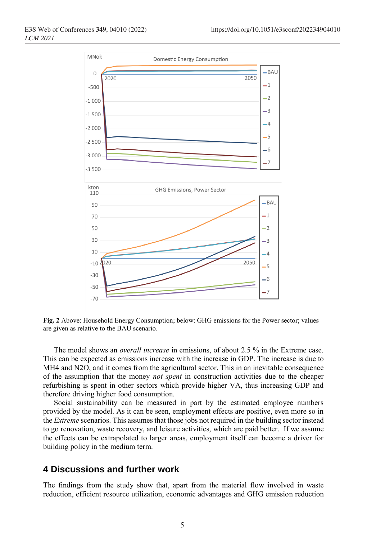

<span id="page-4-0"></span>**Fig. 2** Above: Household Energy Consumption; below: GHG emissions for the Power sector; values are given as relative to the BAU scenario.

The model shows an *overall increase* in emissions, of about 2.5 % in the Extreme case. This can be expected as emissions increase with the increase in GDP. The increase is due to MH4 and N2O, and it comes from the agricultural sector. This in an inevitable consequence of the assumption that the money *not spent* in construction activities due to the cheaper refurbishing is spent in other sectors which provide higher VA, thus increasing GDP and therefore driving higher food consumption.

Social sustainability can be measured in part by the estimated employee numbers provided by the model. As it can be seen, employment effects are positive, even more so in the *Extreme* scenarios. This assumes that those jobs not required in the building sector instead to go renovation, waste recovery, and leisure activities, which are paid better. If we assume the effects can be extrapolated to larger areas, employment itself can become a driver for building policy in the medium term.

#### **4 Discussions and further work**

The findings from the study show that, apart from the material flow involved in waste reduction, efficient resource utilization, economic advantages and GHG emission reduction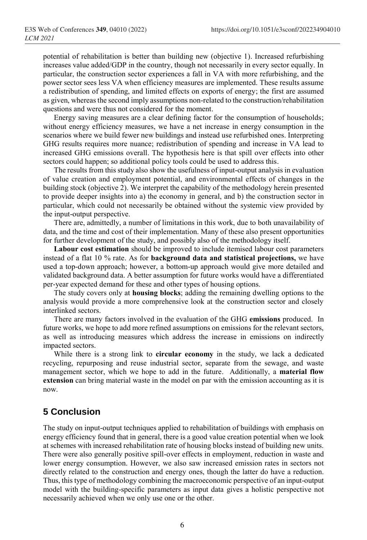potential of rehabilitation is better than building new (objective 1). Increased refurbishing increases value added/GDP in the country, though not necessarily in every sector equally. In particular, the construction sector experiences a fall in VA with more refurbishing, and the power sector sees less VA when efficiency measures are implemented. These results assume a redistribution of spending, and limited effects on exports of energy; the first are assumed as given, whereas the second imply assumptions non-related to the construction/rehabilitation questions and were thus not considered for the moment.

Energy saving measures are a clear defining factor for the consumption of households; without energy efficiency measures, we have a net increase in energy consumption in the scenarios where we build fewer new buildings and instead use refurbished ones. Interpreting GHG results requires more nuance; redistribution of spending and increase in VA lead to increased GHG emissions overall. The hypothesis here is that spill over effects into other sectors could happen; so additional policy tools could be used to address this.

The results from this study also show the usefulness of input-output analysis in evaluation of value creation and employment potential, and environmental effects of changes in the building stock (objective 2). We interpret the capability of the methodology herein presented to provide deeper insights into a) the economy in general, and b) the construction sector in particular, which could not necessarily be obtained without the systemic view provided by the input-output perspective.

There are, admittedly, a number of limitations in this work, due to both unavailability of data, and the time and cost of their implementation. Many of these also present opportunities for further development of the study, and possibly also of the methodology itself.

**Labour cost estimation** should be improved to include itemised labour cost parameters instead of a flat 10 % rate. As for **background data and statistical projections,** we have used a top-down approach; however, a bottom-up approach would give more detailed and validated background data. A better assumption for future works would have a differentiated per-year expected demand for these and other types of housing options.

The study covers only at **housing blocks**; adding the remaining dwelling options to the analysis would provide a more comprehensive look at the construction sector and closely interlinked sectors.

There are many factors involved in the evaluation of the GHG **emissions** produced. In future works, we hope to add more refined assumptions on emissions for the relevant sectors, as well as introducing measures which address the increase in emissions on indirectly impacted sectors.

While there is a strong link to **circular economy** in the study, we lack a dedicated recycling, repurposing and reuse industrial sector, separate from the sewage, and waste management sector, which we hope to add in the future. Additionally, a **material flow extension** can bring material waste in the model on par with the emission accounting as it is now.

#### **5 Conclusion**

The study on input-output techniques applied to rehabilitation of buildings with emphasis on energy efficiency found that in general, there is a good value creation potential when we look at schemes with increased rehabilitation rate of housing blocks instead of building new units. There were also generally positive spill-over effects in employment, reduction in waste and lower energy consumption. However, we also saw increased emission rates in sectors not directly related to the construction and energy ones, though the latter do have a reduction. Thus, this type of methodology combining the macroeconomic perspective of an input-output model with the building-specific parameters as input data gives a holistic perspective not necessarily achieved when we only use one or the other.